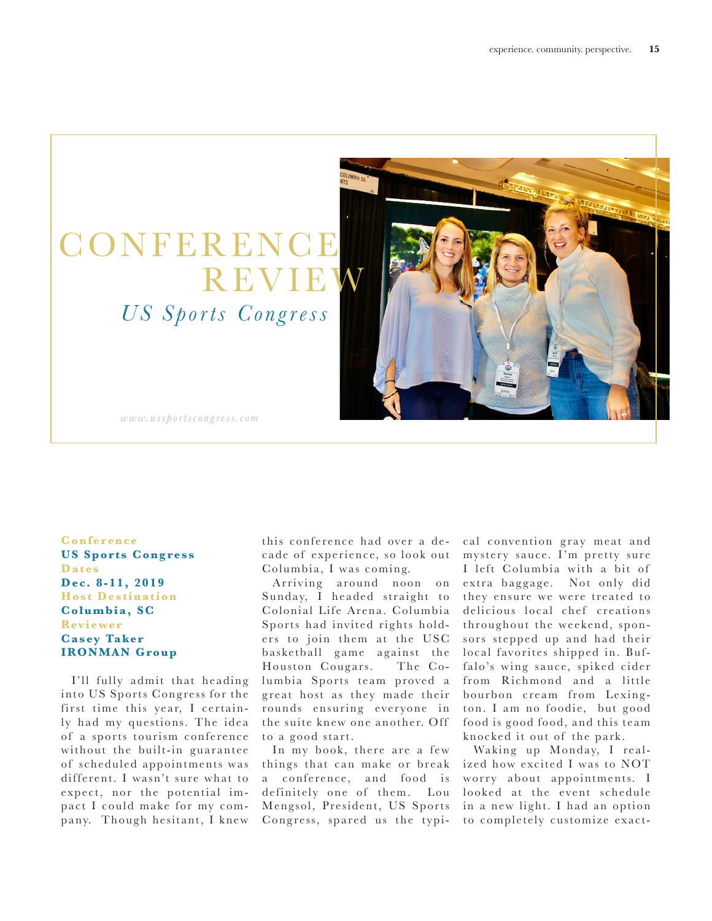## **CONFER** R E V I  *US Sports Congress*



*www.ussportscongress.com*

**Conference US Sports Congress Dates D e c. 8 - 11, 2019 Host Destination Columbia, SC Reviewer Casey Taker IRONMAN Group** 

I'll fully admit that heading into US Sports Congress for the first time this year, I certainly had my questions. The idea of a sports tourism conference without the built-in guarantee of scheduled appointments was different. I wasn't sure what to expect, nor the potential impact I could make for my company. Though hesitant, I knew

this conference had over a de cade of experience, so look out Columbia, I was coming.

Ar riving around noon on Sunday, I headed straight to Colonial Life Arena. Columbia Sports had invited rights holders to join them at the USC basketball game against the Houston Cougars. The Columbia Sports team proved a great host as they made their rounds ensuring everyone in the suite knew one another. Off to a good start.

In my book, there are a few things that can make or break a conference, and food is definitely one of them. Lou Mengsol, President, US Sports Congress, spared us the typical convention gray meat and mystery sauce. I'm pretty sure I left Columbia with a bit of extra baggage. Not only did they ensure we were treated to delicious local chef creations throughout the weekend, sponsors stepped up and had their local favorites shipped in. Buffalo's wing sauce, spiked cider from Richmond and a little bourbon cream from Lexington. I am no foodie, but good food is good food, and this team knocked it out of the park.

Waking up Monday, I realized how excited I was to NOT worry about appointments. I looked at the event schedule in a new light. I had an option to completely customize exact-